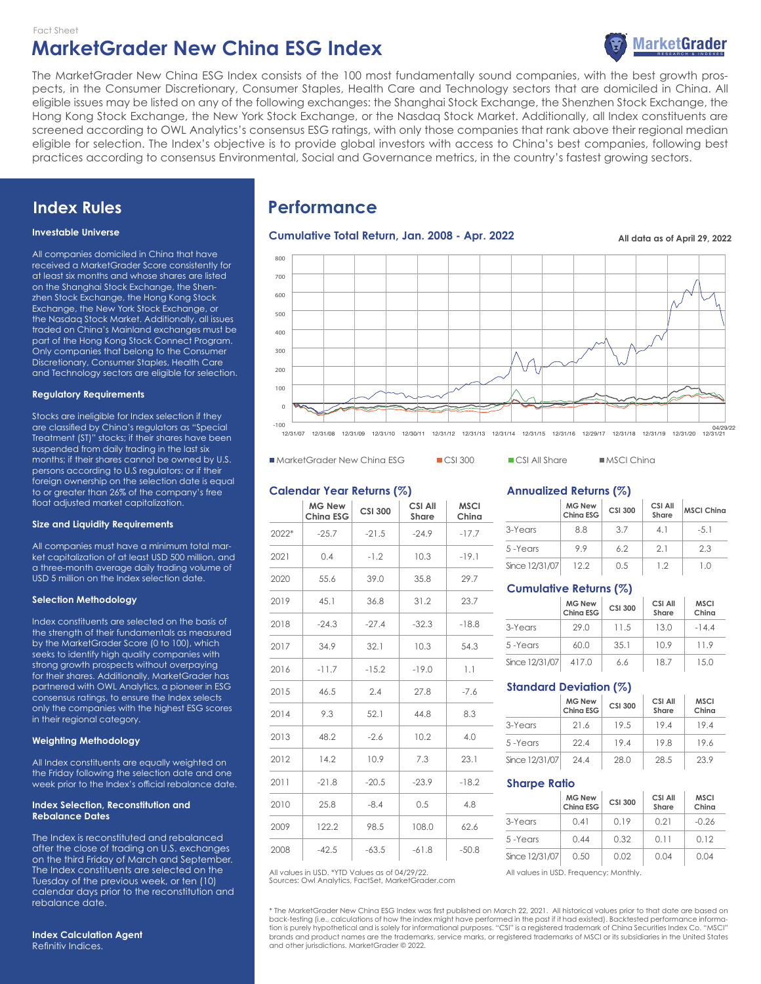

The MarketGrader New China ESG Index consists of the 100 most fundamentally sound companies, with the best growth prospects, in the Consumer Discretionary, Consumer Staples, Health Care and Technology sectors that are domiciled in China. All eligible issues may be listed on any of the following exchanges: the Shanghai Stock Exchange, the Shenzhen Stock Exchange, the Hong Kong Stock Exchange, the New York Stock Exchange, or the Nasdaq Stock Market. Additionally, all Index constituents are screened according to OWL Analytics's consensus ESG ratings, with only those companies that rank above their regional median eligible for selection. The Index's objective is to provide global investors with access to China's best companies, following best practices according to consensus Environmental, Social and Governance metrics, in the country's fastest growing sectors.

# **Index Rules**

#### **Investable Universe**

All companies domiciled in China that have received a MarketGrader Score consistently for at least six months and whose shares are listed on the Shanghai Stock Exchange, the Shenzhen Stock Exchange, the Hong Kong Stock Exchange, the New York Stock Exchange, or the Nasdaq Stock Market. Additionally, all issues traded on China's Mainland exchanges must be part of the Hong Kong Stock Connect Program. Only companies that belong to the Consumer Discretionary, Consumer Staples, Health Care and Technology sectors are eligible for selection.

#### **Regulatory Requirements**

Stocks are ineligible for Index selection if they are classified by China's regulators as "Special Treatment (ST)" stocks; if their shares have been suspended from daily trading in the last six months; if their shares cannot be owned by U.S. persons according to U.S regulators; or if their foreign ownership on the selection date is equal to or greater than 26% of the company's free float adjusted market capitalization.

#### **Size and Liquidity Requirements**

All companies must have a minimum total market capitalization of at least USD 500 million, and a three-month average daily trading volume of USD 5 million on the Index selection date.

#### **Selection Methodology**

Index constituents are selected on the basis of the strength of their fundamentals as measured by the MarketGrader Score (0 to 100), which seeks to identify high quality companies with strong growth prospects without overpaying for their shares. Additionally, MarketGrader has partnered with OWL Analytics, a pioneer in ESG consensus ratings, to ensure the Index selects only the companies with the highest ESG scores in their regional category.

#### **Weighting Methodology**

All Index constituents are equally weighted on the Friday following the selection date and one week prior to the Index's official rebalance date.

#### **Index Selection, Reconstitution and Rebalance Dates**

The Index is reconstituted and rebalanced after the close of trading on U.S. exchanges on the third Friday of March and September. The Index constituents are selected on the Tuesday of the previous week, or ten (10) calendar days prior to the reconstitution and rebalance date.

| <b>Index Calculation Agent</b> |  |
|--------------------------------|--|
| Refinitiv Indices.             |  |

# **Performance**

### Cumulative Total Return, Jan. 2008 - Apr. 2022 **All data as of April 29, 2022**



■ MarketGrader New China ESG ■ CSI 300 ■ CSI All Share ■ MSCI China

#### **Calendar Year Returns (%)**

|       | <b>MG New</b><br><b>Ching ESG</b> | <b>CSI 300</b> | <b>CSI All</b><br><b>Share</b> | <b>MSCI</b><br>China |
|-------|-----------------------------------|----------------|--------------------------------|----------------------|
| 2022* | $-25.7$                           | $-21.5$        | $-24.9$                        | $-17.7$              |
| 2021  | 0.4                               | $-1.2$         | 10.3                           | $-19.1$              |
| 2020  | 55.6                              | 39.0           | 35.8                           | 29.7                 |
| 2019  | 45.1                              | 36.8           | 31.2                           | 23.7                 |
| 2018  | $-24.3$                           | $-27.4$        | $-32.3$                        | $-18.8$              |
| 2017  | 34.9                              | 32.1           | 10.3                           | 54.3                 |
| 2016  | $-11.7$                           | $-15.2$        | $-19.0$                        | 1.1                  |
| 2015  | 46.5                              | 2.4            | 27.8                           | $-7.6$               |
| 2014  | 9.3                               | 52.1           | 44.8                           | 8.3                  |
| 2013  | 48.2                              | $-2.6$         | 10.2                           | 4.0                  |
| 2012  | 14.2                              | 10.9           | 7.3                            | 23.1                 |
| 2011  | $-21.8$                           | $-20.5$        | $-23.9$                        | $-18.2$              |
| 2010  | 25.8                              | $-8.4$         | 0.5                            | 4.8                  |
| 2009  | 122.2                             | 98.5           | 108.0                          | 62.6                 |
| 2008  | $-42.5$                           | $-63.5$        | $-61.8$                        | $-50.8$              |

Sources: Owl Analytics, FactSet, MarketGrader.com

#### **Annualized Returns (%)**

|                | <b>MG New</b><br>Ching ESG | <b>CSI 300</b> | CSI All<br>Share | <b>MSCI Ching</b> |
|----------------|----------------------------|----------------|------------------|-------------------|
| 3-Years        | 8.8                        | 37             | 41               | $-5.1$            |
| 5-Years        | 99                         | 62             | 21               | 23                |
| Since 12/31/07 | 122                        | 0.5            | 12               | 10                |

#### **Cumulative Returns (%)**

|                | <b>MG New</b><br>China ESG | <b>CSI 300</b> | CSI All<br>Share | <b>MSCI</b><br>China |
|----------------|----------------------------|----------------|------------------|----------------------|
| 3-Years        | 29.0                       | 11.5           | 13.0             | $-144$               |
| 5-Years        | 60.0                       | 35.1           | 10.9             | 119                  |
| Since 12/31/07 | 417.0                      | 6.6            | 187              | 15.0                 |

# **Standard Deviation (%)**

|                | <b>MG New</b><br>China ESG | <b>CSI 300</b> | CSI All<br>Share | <b>MSCI</b><br>China |
|----------------|----------------------------|----------------|------------------|----------------------|
| 3-Years        | 21.6                       | 19.5           | 19.4             | 19.4                 |
| 5-Years        | 22.4                       | 194            | 19.8             | 19.6                 |
| Since 12/31/07 | 244                        | 28.0           | 28.5             | 23.9                 |

#### **Sharpe Ratio**

|                | <b>MG New</b><br>China ESG | <b>CSI 300</b> | CSI All<br>Share | <b>MSCI</b><br>China |
|----------------|----------------------------|----------------|------------------|----------------------|
| 3-Years        | 0.41                       | 0.19           | 0.21             | $-0.26$              |
| 5-Years        | 0.44                       | 0.32           | 0.11             | 0.12                 |
| Since 12/31/07 | 0.50                       | 0.02           | 0.04             | 0.04                 |

All values in USD. \*YTD Values as of 04/29/22. All values in USD. Frequency: Monthly.

\* The MarketGrader New China ESG Index was first published on March 22, 2021. All historical values prior to that date are based on back-testing (i.e., calculations of how the index might have performed in the past if it had existed). Backtested performance informa-<br>tion is purely hypothetical and is solely for informational purposes. "CSI" is a regist brands and product names are the trademarks, service marks, or registered trademarks of MSCI or its subsidiaries in the United States and other jurisdictions. MarketGrader © 2022.